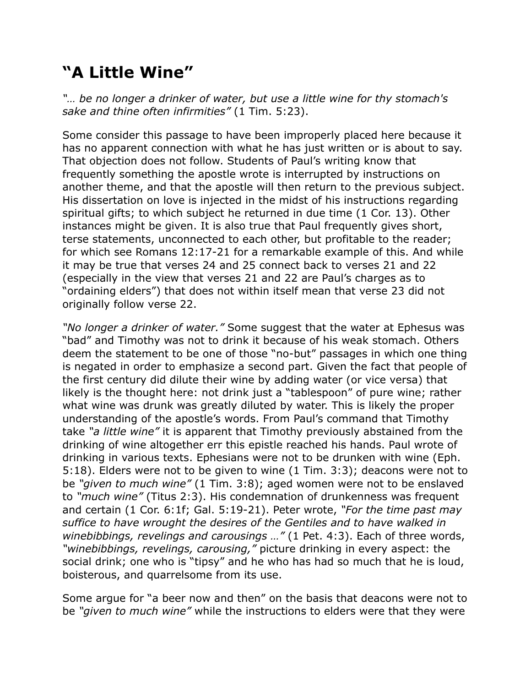## **"A Little Wine"**

*"… be no longer a drinker of water, but use a little wine for thy stomach's sake and thine often infirmities"* (1 Tim. 5:23).

Some consider this passage to have been improperly placed here because it has no apparent connection with what he has just written or is about to say. That objection does not follow. Students of Paul's writing know that frequently something the apostle wrote is interrupted by instructions on another theme, and that the apostle will then return to the previous subject. His dissertation on love is injected in the midst of his instructions regarding spiritual gifts; to which subject he returned in due time (1 Cor. 13). Other instances might be given. It is also true that Paul frequently gives short, terse statements, unconnected to each other, but profitable to the reader; for which see Romans 12:17-21 for a remarkable example of this. And while it may be true that verses 24 and 25 connect back to verses 21 and 22 (especially in the view that verses 21 and 22 are Paul's charges as to "ordaining elders") that does not within itself mean that verse 23 did not originally follow verse 22.

*"No longer a drinker of water."* Some suggest that the water at Ephesus was "bad" and Timothy was not to drink it because of his weak stomach. Others deem the statement to be one of those "no-but" passages in which one thing is negated in order to emphasize a second part. Given the fact that people of the first century did dilute their wine by adding water (or vice versa) that likely is the thought here: not drink just a "tablespoon" of pure wine; rather what wine was drunk was greatly diluted by water. This is likely the proper understanding of the apostle's words. From Paul's command that Timothy take *"a little wine"* it is apparent that Timothy previously abstained from the drinking of wine altogether err this epistle reached his hands. Paul wrote of drinking in various texts. Ephesians were not to be drunken with wine (Eph. 5:18). Elders were not to be given to wine (1 Tim. 3:3); deacons were not to be *"given to much wine"* (1 Tim. 3:8); aged women were not to be enslaved to *"much wine"* (Titus 2:3). His condemnation of drunkenness was frequent and certain (1 Cor. 6:1f; Gal. 5:19-21). Peter wrote, *"For the time past may suffice to have wrought the desires of the Gentiles and to have walked in winebibbings, revelings and carousings …"* (1 Pet. 4:3). Each of three words, *"winebibbings, revelings, carousing,"* picture drinking in every aspect: the social drink; one who is "tipsy" and he who has had so much that he is loud, boisterous, and quarrelsome from its use.

Some argue for "a beer now and then" on the basis that deacons were not to be *"given to much wine"* while the instructions to elders were that they were